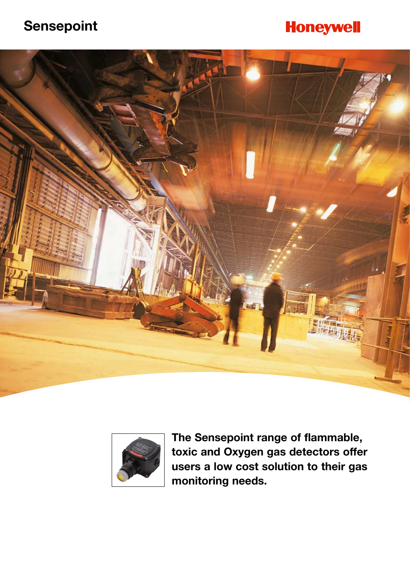## **Sensepoint**

## **Honeywell**





**The Sensepoint range of flammable, toxic and Oxygen gas detectors offer users a low cost solution to their gas monitoring needs.**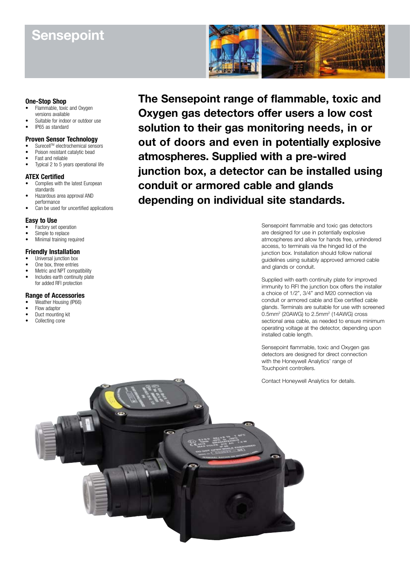## **Sensepoint**



#### **One-Stop Shop**

- Flammable, toxic and Oxygen versions available
- Suitable for indoor or outdoor use
- • IP65 as standard

#### **Proven Sensor Technology**

- SurecellTM electrochemical sensors
- Poison resistant catalytic bead
- Fast and reliable Typical 2 to 5 years operational life

#### **ATEX Certified**

- Complies with the latest European standards
- Hazardous area approval AND performance
- Can be used for uncertified applications

#### **Easy to Use**

- Factory set operation
- Simple to replace
- Minimal training required

#### **Friendly Installation**

- Universal junction box
- One box, three entries
- Metric and NPT compatibility • Includes earth continuity plate for added RFI protection

#### **Range of Accessories**

- Weather Housing (IP66)
- Flow adaptor
- Duct mounting kit
- Collecting cone

**The Sensepoint range of flammable, toxic and Oxygen gas detectors offer users a low cost solution to their gas monitoring needs, in or out of doors and even in potentially explosive atmospheres. Supplied with a pre-wired junction box, a detector can be installed using conduit or armored cable and glands depending on individual site standards.**

> Sensepoint flammable and toxic gas detectors are designed for use in potentially explosive atmospheres and allow for hands free, unhindered access, to terminals via the hinged lid of the junction box. Installation should follow national guidelines using suitably approved armored cable and glands or conduit.

Supplied with earth continuity plate for improved immunity to RFI the junction box offers the installer a choice of 1/2", 3/4" and M20 connection via conduit or armored cable and Exe certified cable glands. Terminals are suitable for use with screened 0.5mm2 (20AWG) to 2.5mm2 (14AWG) cross sectional area cable, as needed to ensure minimum operating voltage at the detector, depending upon installed cable length.

Sensepoint flammable, toxic and Oxygen gas detectors are designed for direct connection with the Honeywell Analytics' range of Touchpoint controllers.

Contact Honeywell Analytics for details.

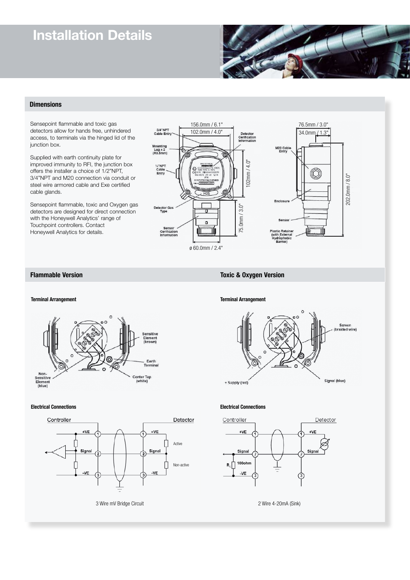## **Installation Details**



#### **Dimensions**

Sensepoint flammable and toxic gas detectors allow for hands free, unhindered access, to terminals via the hinged lid of the junction box.

Supplied with earth continuity plate for improved immunity to RFI, the junction box offers the installer a choice of 1/2"NPT, 3/4"NPT and M20 connection via conduit or steel wire armored cable and Exe certified cable glands.

Sensepoint flammable, toxic and Oxygen gas detectors are designed for direct connection with the Honeywell Analytics' range of Touchpoint controllers. Contact Honeywell Analytics for details.



# Non-<br>Sensitive<br>Element<br>(blue)

**Electrical Connections Electrical Connections**



**Terminal Arrangement Terminal Arrangement**

**Flammable Version** Toxic & Oxygen Version



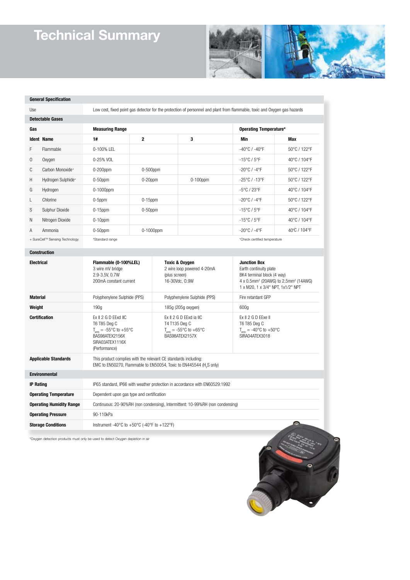# **Technical Summary**



#### **General Specification**

Use Low cost, fixed point gas detector for the protection of personnel and plant from flammable, toxic and Oxygen gas hazards

| Detectable Gases               |                              |                        |              |             |                                   |                              |  |
|--------------------------------|------------------------------|------------------------|--------------|-------------|-----------------------------------|------------------------------|--|
| Gas                            |                              | <b>Measuring Range</b> |              |             | Operating Temperature*            |                              |  |
|                                | <b>Ident Name</b>            | 1#                     | $\mathbf{2}$ | 3           | Min                               | Max                          |  |
| F                              | Flammable                    | $0-100%$ I FI          |              |             | $-40^{\circ}$ C / $-40^{\circ}$ F | 50°C / 122°F                 |  |
| $\mathbf 0$                    | Oxygen                       | 0-25% VOL              |              |             | $-15^{\circ}$ C / $5^{\circ}$ F   | 40°C / 104°F                 |  |
| C                              | Carbon Monoxide <sup>+</sup> | $0-200$ ppm            | $0-500$ ppm  |             | $-20^{\circ}$ C / $-4^{\circ}$ F  | 50°C / 122°F                 |  |
| Н                              | Hydrogen Sulphide+           | $0-50$ ppm             | $0-20$ ppm   | $0-100$ ppm | $-25^{\circ}$ C / $-13^{\circ}$ F | 50°C / 122°F                 |  |
| G                              | Hydrogen                     | $0-1000$ ppm           |              |             | $-5^{\circ}$ C / 23°F             | 40°C / 104°F                 |  |
| L                              | Chlorine                     | $0-5$ ppm              | $0-15$ ppm   |             | $-20^{\circ}$ C / $-4^{\circ}$ F  | 50°C / 122°F                 |  |
| S                              | Sulphur Dioxide              | $0-15$ ppm             | $0-50$ ppm   |             | $-15^{\circ}$ C / $5^{\circ}$ F   | 40°C / 104°F                 |  |
| N                              | Nitrogen Dioxide             | $0-10$ ppm             |              |             | $-15^{\circ}$ C / $5^{\circ}$ F   | 40°C / 104°F                 |  |
| A                              | Ammonia                      | $0-50$ ppm             | $0-1000$ ppm |             | $-20^{\circ}$ C / $-4^{\circ}$ F  | 40°C / 104°F                 |  |
| + SureCell™ Sensing Technology |                              | *Standard range        |              |             |                                   | *Check certified temperature |  |

#### **Construction**

| <b>Electrical</b>               | Flammable (0-100%LEL)<br>3 wire mV bridge<br>2.9-3.5V. 0.7W<br>200mA constant current                                                       | Toxic & Oxygen<br>2 wire loop powered 4-20mA<br>(plus screen)<br>16-30Vdc, 0.9W          | <b>Junction Box</b><br>Earth continuity plate<br>BK4 terminal block (4 way)<br>4 x 0.5mm <sup>2</sup> (20AWG) to 2.5mm <sup>2</sup> (14AWG)<br>1 x M20, 1 x 3/4" NPT, 1x1/2" NPT |
|---------------------------------|---------------------------------------------------------------------------------------------------------------------------------------------|------------------------------------------------------------------------------------------|----------------------------------------------------------------------------------------------------------------------------------------------------------------------------------|
| <b>Material</b>                 | Polyphenylene Sulphide (PPS)                                                                                                                | Polyphenylene Sulphide (PPS)                                                             | Fire retardant GFP                                                                                                                                                               |
| Weight                          | 190q                                                                                                                                        | 185g (205g oxygen)                                                                       | 600a                                                                                                                                                                             |
| <b>Certification</b>            | $Fx$ $I$ $2$ $G$ $D$ $F$ $Fxd$ $I$ $IC$<br>T6 T85 Deg C<br>$T_{amb}$ = -55°C to +55°C<br>BAS98ATFX2156X<br>SIRA03ATFX1116X<br>(Performance) | Ex II 2 G D EExd ia IIC<br>T4 T135 Deg C<br>$T_{amb}$ = -55°C to +65°C<br>BAS98ATFX2157X | Ex II 2 G D EExe II<br>T6 T85 Deg C<br>$T_{amb}$ = -40°C to +50°C<br>SIRA04ATFX3018                                                                                              |
| <b>Applicable Standards</b>     | This product complies with the relevant CE standards including:                                                                             | EMC to EN50270, Flammable to EN50054, Toxic to EN445544 (H <sub>2</sub> S only)          |                                                                                                                                                                                  |
| <b>Environmental</b>            |                                                                                                                                             |                                                                                          |                                                                                                                                                                                  |
| <b>IP Rating</b>                |                                                                                                                                             | IP65 standard, IP66 with weather protection in accordance with EN60529:1992              |                                                                                                                                                                                  |
| <b>Operating Temperature</b>    | Dependent upon gas type and certification                                                                                                   |                                                                                          |                                                                                                                                                                                  |
| <b>Operating Humidity Range</b> |                                                                                                                                             | Continuous: 20-90%RH (non condensing), Intermittent: 10-99%RH (non condensing)           |                                                                                                                                                                                  |
| <b>Operating Pressure</b>       | 90-110kPa                                                                                                                                   |                                                                                          |                                                                                                                                                                                  |
| <b>Storage Conditions</b>       | Instrument -40°C to +50°C (-40°F to +122°F)                                                                                                 |                                                                                          | $\bullet$                                                                                                                                                                        |

\*Oxygen detection products must only be used to detect Oxygen depletion in air

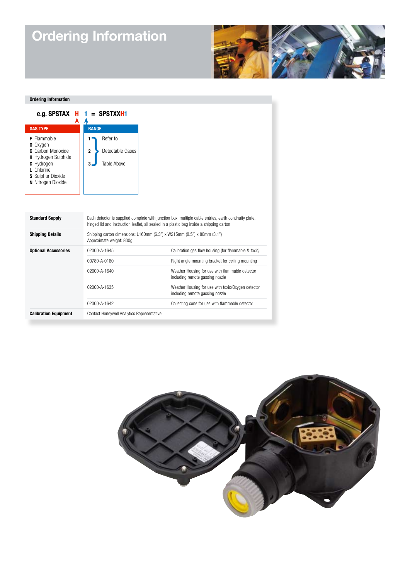# **Ordering Information**



#### **Ordering Information**

| e.g. SPSTAX<br>н                                                                                                                                      | = SPSTXXH1                                                                                                                                                                                        |
|-------------------------------------------------------------------------------------------------------------------------------------------------------|---------------------------------------------------------------------------------------------------------------------------------------------------------------------------------------------------|
| <b>GAS TYPE</b>                                                                                                                                       | <b>RANGE</b>                                                                                                                                                                                      |
| Flammable<br><b>0</b> Oxygen<br>C. Carbon Monoxide<br>H Hydrogen Sulphide<br>G Hydrogen<br>Chlorine<br><b>S</b> Sulphur Dioxide<br>N Nitrogen Dioxide | Refer to<br>1<br>Detectable Gases<br>$\overline{2}$<br><b>Table Above</b><br>3                                                                                                                    |
|                                                                                                                                                       |                                                                                                                                                                                                   |
| <b>Standard Supply</b>                                                                                                                                | Each detector is supplied complete with junction box, multiple cable entries, earth continuity plate,<br>hinged lid and instruction leaflet, all sealed in a plastic bag inside a shipping carton |
| <b>Shipping Details</b><br>Shipping carton dimensions: L160mm (6.3") x W215mm (8.5") x 80mm (3.1")<br>Approximate weight: 800g                        |                                                                                                                                                                                                   |
| <b>Optional Accessories</b>                                                                                                                           | 02000-A-1645                                                                                                                                                                                      |
|                                                                                                                                                       | 00780-A-0160                                                                                                                                                                                      |
|                                                                                                                                                       | 02000-A-1640                                                                                                                                                                                      |
|                                                                                                                                                       | 02000-A-1635                                                                                                                                                                                      |
|                                                                                                                                                       | 02000-A-1642                                                                                                                                                                                      |
| <b>Calibration Equipment</b>                                                                                                                          | Contact Honeywell Analytics Representative                                                                                                                                                        |